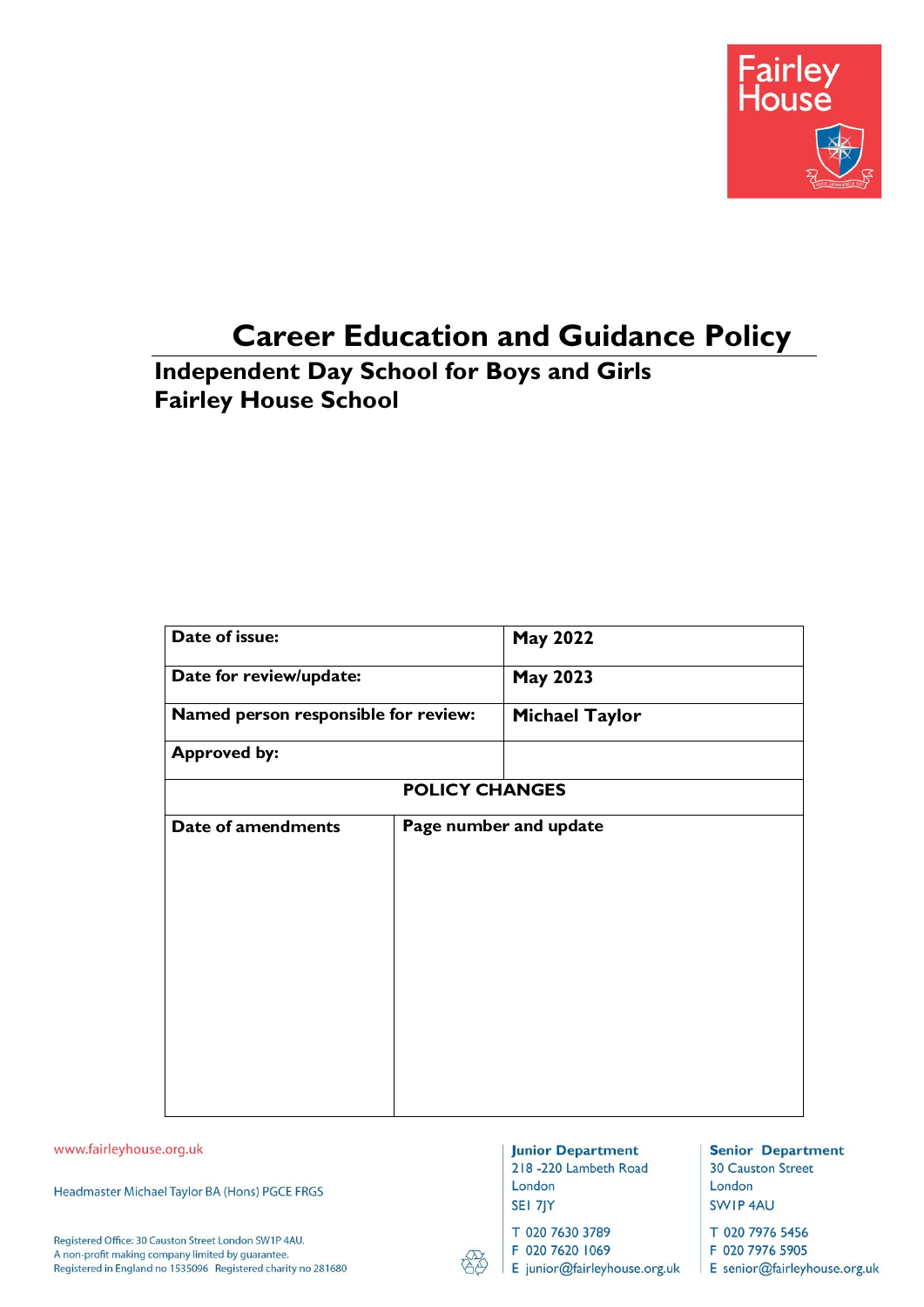

# **Career Education and Guidance Policy**

# **Independent Day School for Boys and Girls Fairley House School**

| Date of issue:                       |                        | <b>May 2022</b>       |  |
|--------------------------------------|------------------------|-----------------------|--|
| Date for review/update:              |                        | <b>May 2023</b>       |  |
| Named person responsible for review: |                        | <b>Michael Taylor</b> |  |
| <b>Approved by:</b>                  |                        |                       |  |
|                                      | <b>POLICY CHANGES</b>  |                       |  |
| Date of amendments                   | Page number and update |                       |  |
|                                      |                        |                       |  |
|                                      |                        |                       |  |
|                                      |                        |                       |  |
|                                      |                        |                       |  |
|                                      |                        |                       |  |
|                                      |                        |                       |  |
|                                      |                        |                       |  |

www.fairleyhouse.org.uk

Headmaster Michael Taylor BA (Hons) PGCE FRGS

Registered Office: 30 Causton Street London SW1P 4AU. A non-profit making company limited by guarantee. Registered in England no 1535096 Registered charity no 281680

#### **Junior Department** 218 -220 Lambeth Road London

SEI 7JY

T 020 7630 3789

F 020 7620 1069

E junior@fairleyhouse.org.uk

**Senior Department 30 Causton Street** London SWIP 4AU

T 020 7976 5456 F 020 7976 5905

E senior@fairleyhouse.org.uk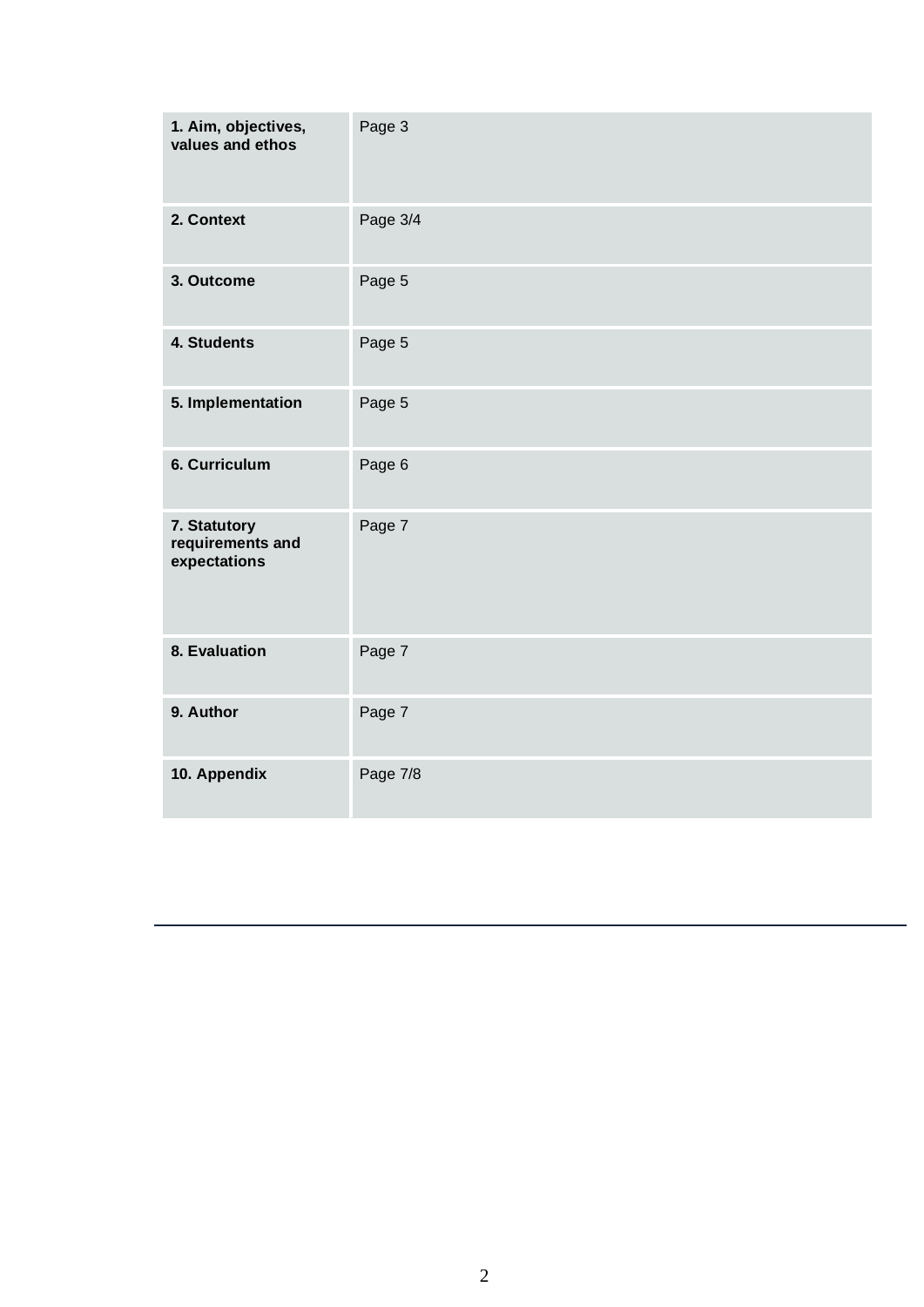| 1. Aim, objectives,<br>values and ethos          | Page 3   |
|--------------------------------------------------|----------|
| 2. Context                                       | Page 3/4 |
| 3. Outcome                                       | Page 5   |
| 4. Students                                      | Page 5   |
| 5. Implementation                                | Page 5   |
| 6. Curriculum                                    | Page 6   |
| 7. Statutory<br>requirements and<br>expectations | Page 7   |
| 8. Evaluation                                    | Page 7   |
| 9. Author                                        | Page 7   |
| 10. Appendix                                     | Page 7/8 |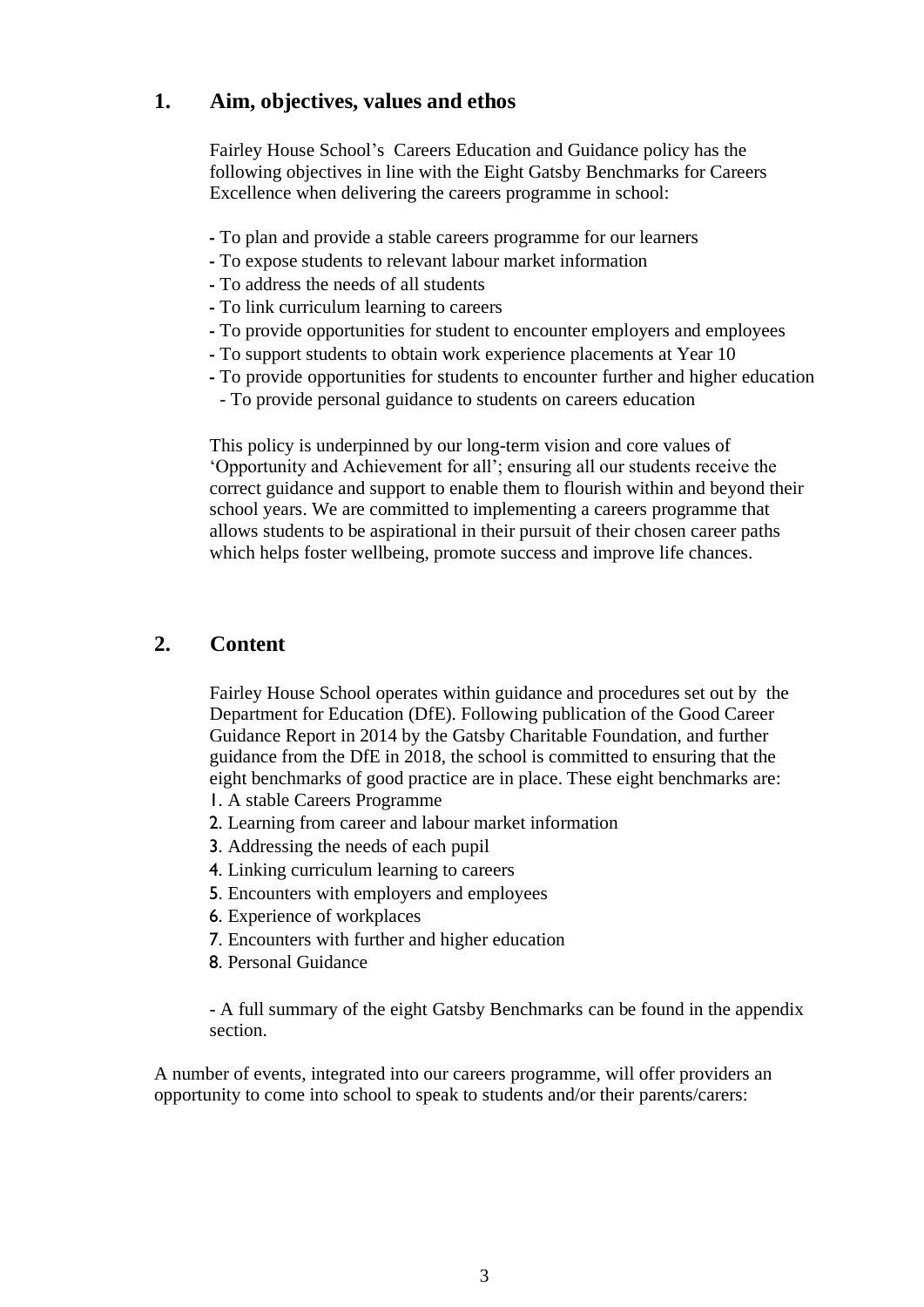### **1. Aim, objectives, values and ethos**

Fairley House School's Careers Education and Guidance policy has the following objectives in line with the Eight Gatsby Benchmarks for Careers Excellence when delivering the careers programme in school:

- To plan and provide a stable careers programme for our learners
- To expose students to relevant labour market information
- To address the needs of all students
- To link curriculum learning to careers
- To provide opportunities for student to encounter employers and employees
- To support students to obtain work experience placements at Year 10
- To provide opportunities for students to encounter further and higher education
	- To provide personal guidance to students on careers education

This policy is underpinned by our long-term vision and core values of 'Opportunity and Achievement for all'; ensuring all our students receive the correct guidance and support to enable them to flourish within and beyond their school years. We are committed to implementing a careers programme that allows students to be aspirational in their pursuit of their chosen career paths which helps foster wellbeing, promote success and improve life chances.

### **2. Content**

Fairley House School operates within guidance and procedures set out by the Department for Education (DfE). Following publication of the Good Career Guidance Report in 2014 by the Gatsby Charitable Foundation, and further guidance from the DfE in 2018, the school is committed to ensuring that the eight benchmarks of good practice are in place. These eight benchmarks are:

- 1. A stable Careers Programme
- 2. Learning from career and labour market information
- 3. Addressing the needs of each pupil
- 4. Linking curriculum learning to careers
- 5. Encounters with employers and employees
- 6. Experience of workplaces
- 7. Encounters with further and higher education
- 8. Personal Guidance

- A full summary of the eight Gatsby Benchmarks can be found in the appendix section.

A number of events, integrated into our careers programme, will offer providers an opportunity to come into school to speak to students and/or their parents/carers: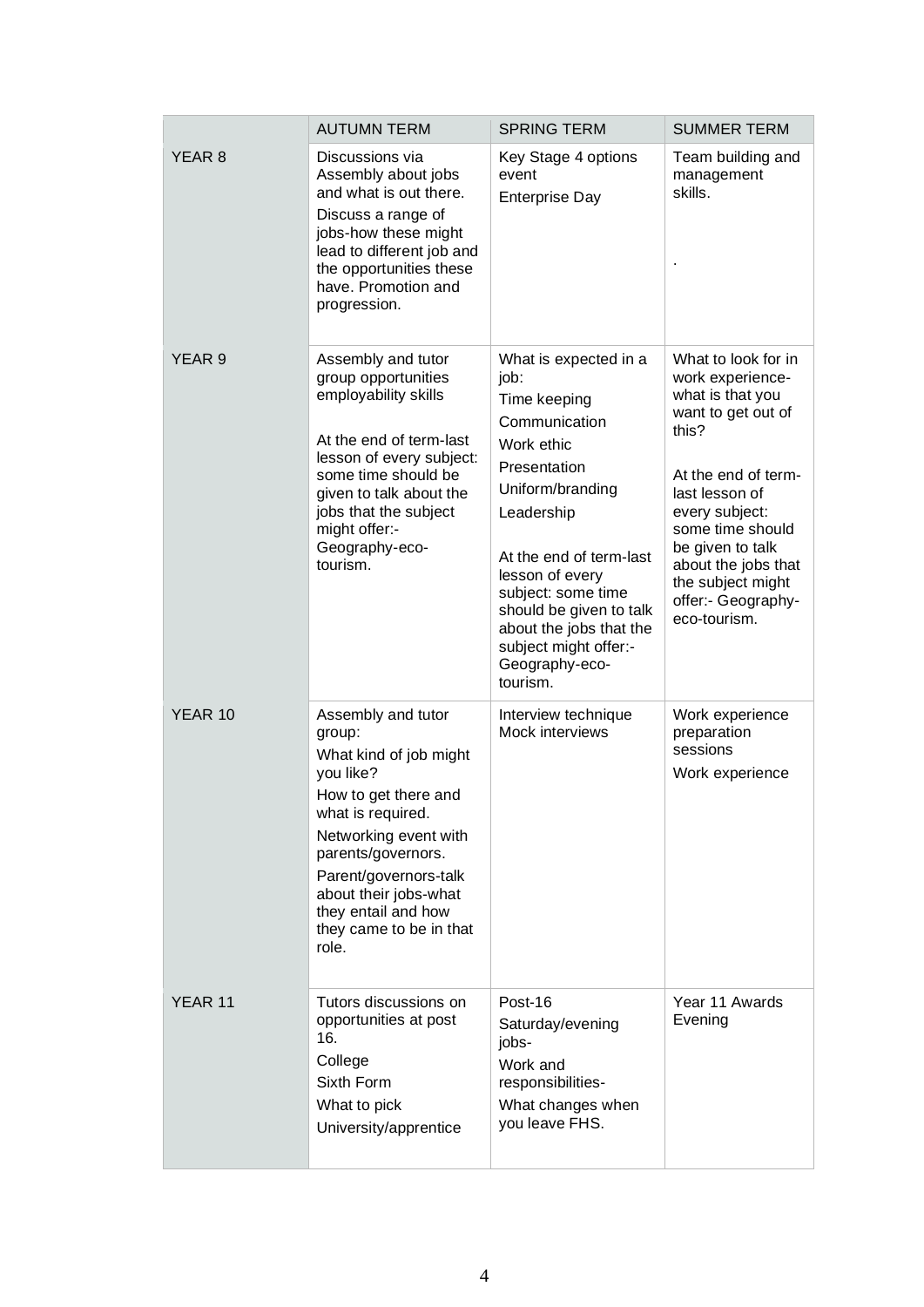|                   | <b>AUTUMN TERM</b>                                                                                                                                                                                                                                                           | <b>SPRING TERM</b>                                                                                                                                                                                                                                                                                              | <b>SUMMER TERM</b>                                                                                                                                                                                                                                                              |
|-------------------|------------------------------------------------------------------------------------------------------------------------------------------------------------------------------------------------------------------------------------------------------------------------------|-----------------------------------------------------------------------------------------------------------------------------------------------------------------------------------------------------------------------------------------------------------------------------------------------------------------|---------------------------------------------------------------------------------------------------------------------------------------------------------------------------------------------------------------------------------------------------------------------------------|
| YEAR <sub>8</sub> | Discussions via<br>Assembly about jobs<br>and what is out there.<br>Discuss a range of<br>jobs-how these might<br>lead to different job and<br>the opportunities these<br>have. Promotion and<br>progression.                                                                | Key Stage 4 options<br>event<br><b>Enterprise Day</b>                                                                                                                                                                                                                                                           | Team building and<br>management<br>skills.                                                                                                                                                                                                                                      |
| YEAR 9            | Assembly and tutor<br>group opportunities<br>employability skills<br>At the end of term-last<br>lesson of every subject:<br>some time should be<br>given to talk about the<br>jobs that the subject<br>might offer:-<br>Geography-eco-<br>tourism.                           | What is expected in a<br>job:<br>Time keeping<br>Communication<br>Work ethic<br>Presentation<br>Uniform/branding<br>Leadership<br>At the end of term-last<br>lesson of every<br>subject: some time<br>should be given to talk<br>about the jobs that the<br>subject might offer:-<br>Geography-eco-<br>tourism. | What to look for in<br>work experience-<br>what is that you<br>want to get out of<br>this?<br>At the end of term-<br>last lesson of<br>every subject:<br>some time should<br>be given to talk<br>about the jobs that<br>the subject might<br>offer:- Geography-<br>eco-tourism. |
| YEAR 10           | Assembly and tutor<br>group:<br>What kind of job might<br>you like?<br>How to get there and<br>what is required.<br>Networking event with<br>parents/governors.<br>Parent/governors-talk<br>about their jobs-what<br>they entail and how<br>they came to be in that<br>role. | Interview technique<br>Mock interviews                                                                                                                                                                                                                                                                          | Work experience<br>preparation<br>sessions<br>Work experience                                                                                                                                                                                                                   |
| YEAR 11           | Tutors discussions on<br>opportunities at post<br>16.<br>College<br>Sixth Form<br>What to pick<br>University/apprentice                                                                                                                                                      | Post-16<br>Saturday/evening<br>jobs-<br>Work and<br>responsibilities-<br>What changes when<br>you leave FHS.                                                                                                                                                                                                    | Year 11 Awards<br>Evening                                                                                                                                                                                                                                                       |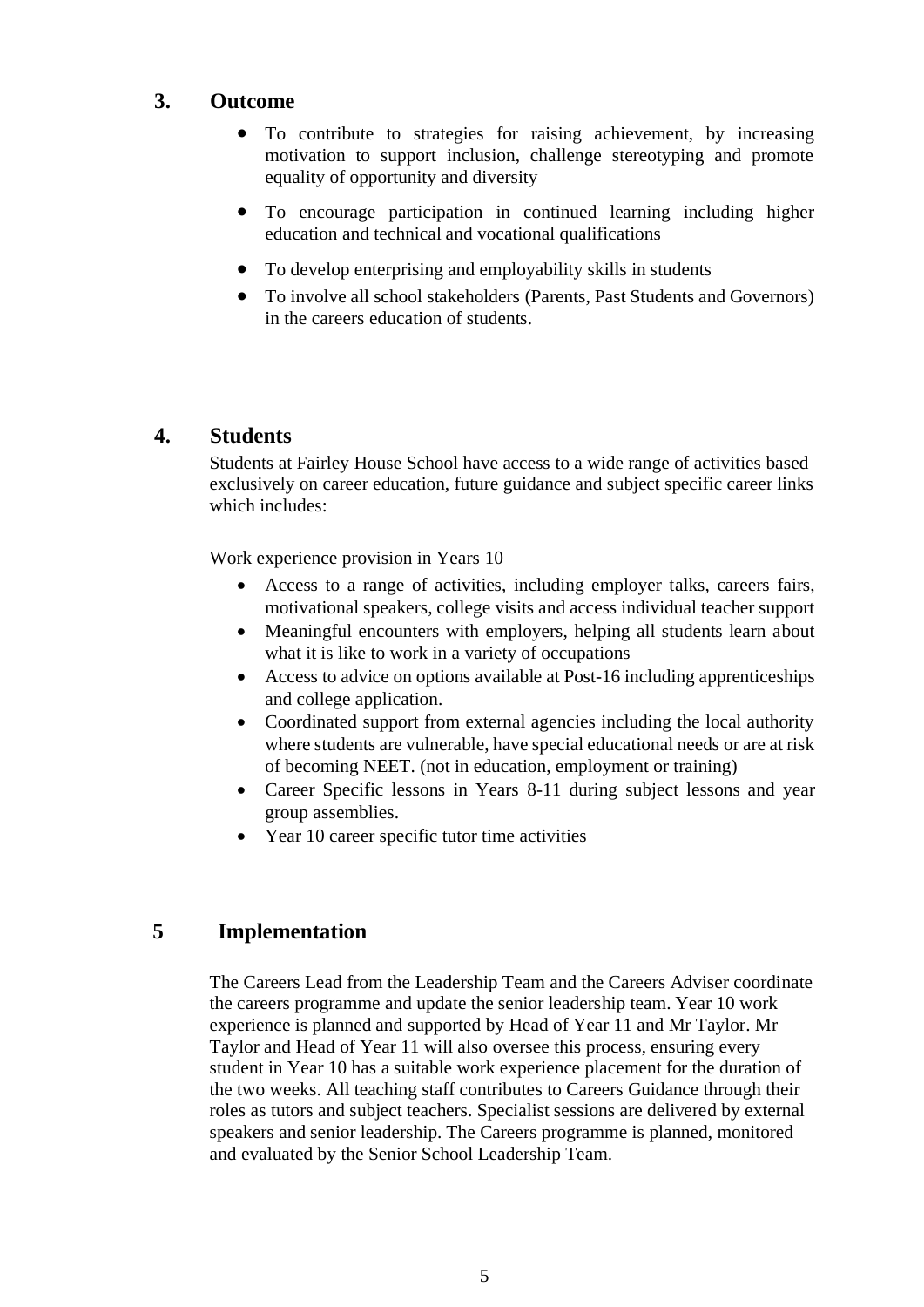# **3. Outcome**

- To contribute to strategies for raising achievement, by increasing motivation to support inclusion, challenge stereotyping and promote equality of opportunity and diversity
- To encourage participation in continued learning including higher education and technical and vocational qualifications
- To develop enterprising and employability skills in students
- To involve all school stakeholders (Parents, Past Students and Governors) in the careers education of students.

# **4. Students**

Students at Fairley House School have access to a wide range of activities based exclusively on career education, future guidance and subject specific career links which includes:

Work experience provision in Years 10

- Access to a range of activities, including employer talks, careers fairs, motivational speakers, college visits and access individual teacher support
- Meaningful encounters with employers, helping all students learn about what it is like to work in a variety of occupations
- Access to advice on options available at Post-16 including apprenticeships and college application.
- Coordinated support from external agencies including the local authority where students are vulnerable, have special educational needs or are at risk of becoming NEET. (not in education, employment or training)
- Career Specific lessons in Years 8-11 during subject lessons and year group assemblies.
- Year 10 career specific tutor time activities

# **5 Implementation**

The Careers Lead from the Leadership Team and the Careers Adviser coordinate the careers programme and update the senior leadership team. Year 10 work experience is planned and supported by Head of Year 11 and Mr Taylor. Mr Taylor and Head of Year 11 will also oversee this process, ensuring every student in Year 10 has a suitable work experience placement for the duration of the two weeks. All teaching staff contributes to Careers Guidance through their roles as tutors and subject teachers. Specialist sessions are delivered by external speakers and senior leadership. The Careers programme is planned, monitored and evaluated by the Senior School Leadership Team.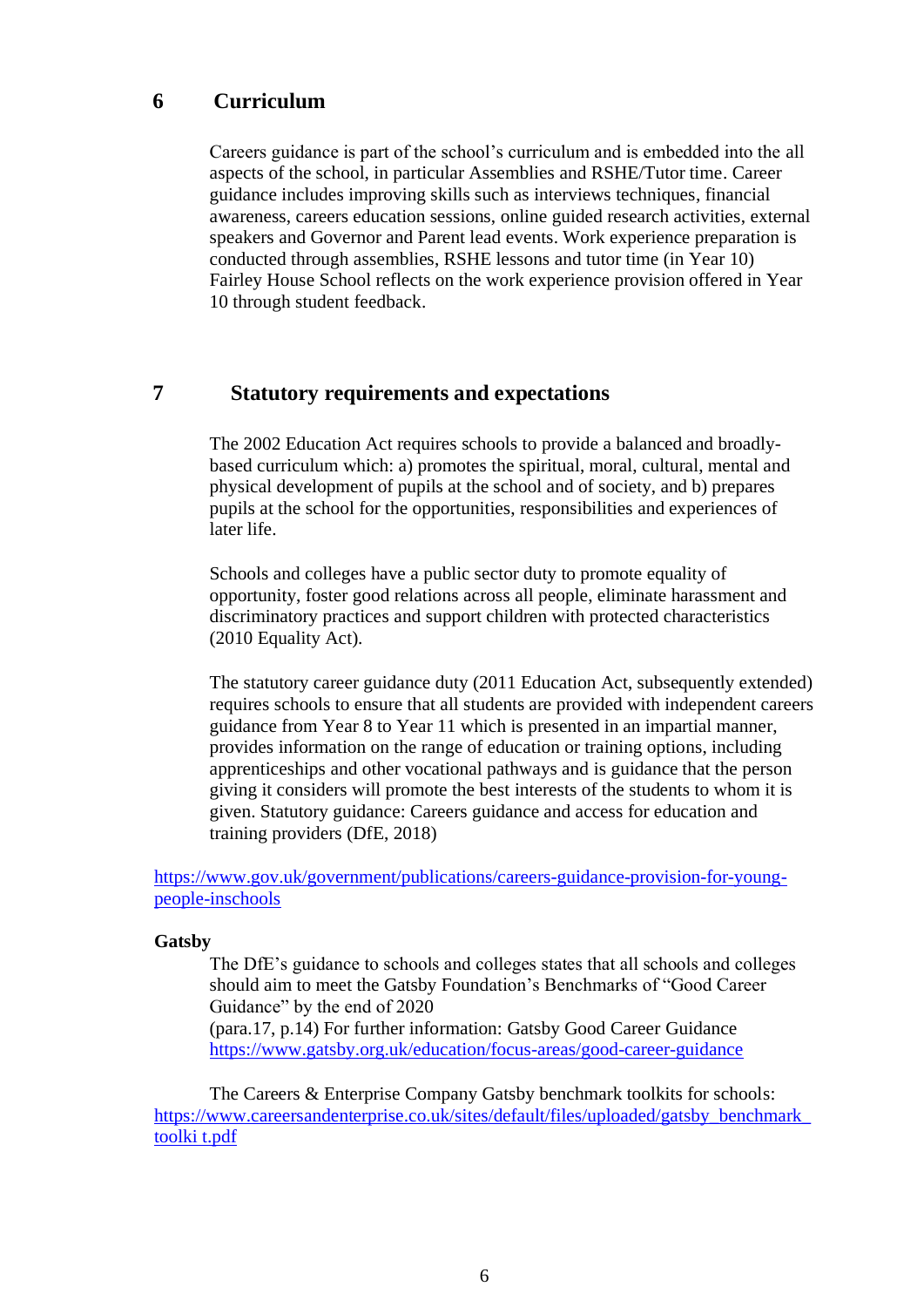### **6 Curriculum**

Careers guidance is part of the school's curriculum and is embedded into the all aspects of the school, in particular Assemblies and RSHE/Tutor time. Career guidance includes improving skills such as interviews techniques, financial awareness, careers education sessions, online guided research activities, external speakers and Governor and Parent lead events. Work experience preparation is conducted through assemblies, RSHE lessons and tutor time (in Year 10) Fairley House School reflects on the work experience provision offered in Year 10 through student feedback.

#### **7 Statutory requirements and expectations**

The 2002 Education Act requires schools to provide a balanced and broadlybased curriculum which: a) promotes the spiritual, moral, cultural, mental and physical development of pupils at the school and of society, and b) prepares pupils at the school for the opportunities, responsibilities and experiences of later life.

Schools and colleges have a public sector duty to promote equality of opportunity, foster good relations across all people, eliminate harassment and discriminatory practices and support children with protected characteristics (2010 Equality Act).

The statutory career guidance duty (2011 Education Act, subsequently extended) requires schools to ensure that all students are provided with independent careers guidance from Year 8 to Year 11 which is presented in an impartial manner, provides information on the range of education or training options, including apprenticeships and other vocational pathways and is guidance that the person giving it considers will promote the best interests of the students to whom it is given. Statutory guidance: Careers guidance and access for education and training providers (DfE, 2018)

[https://www.gov.uk/government/publications/careers-guidance-provision-for-young](https://www.gov.uk/government/publications/careers-guidance-provision-for-young-people-in-schools)[people-inschools](https://www.gov.uk/government/publications/careers-guidance-provision-for-young-people-in-schools)

#### **Gatsby**

The DfE's guidance to schools and colleges states that all schools and colleges should aim to meet the Gatsby Foundation's Benchmarks of "Good Career Guidance" by the end of 2020

(para.17, p.14) For further information: Gatsby Good Career Guidance <https://www.gatsby.org.uk/education/focus-areas/good-career-guidance>

The Careers & Enterprise Company Gatsby benchmark toolkits for schools: [https://www.careersandenterprise.co.uk/sites/default/files/uploaded/gatsby\\_benchmark\\_](https://www.careersandenterprise.co.uk/sites/default/files/uploaded/gatsby_benchmark_toolkit.pdf) [toolki t.pdf](https://www.careersandenterprise.co.uk/sites/default/files/uploaded/gatsby_benchmark_toolkit.pdf)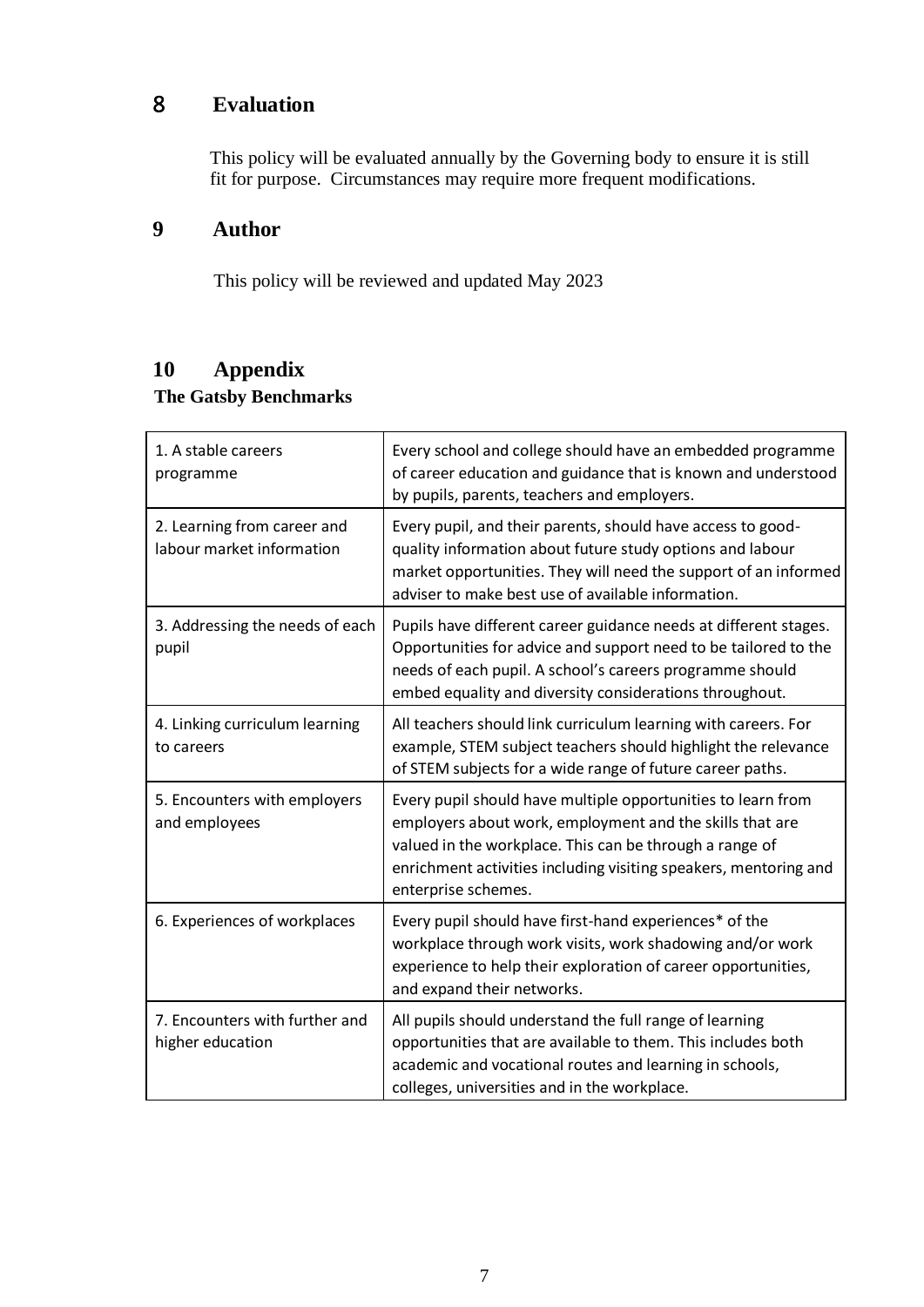# 8 **Evaluation**

This policy will be evaluated annually by the Governing body to ensure it is still fit for purpose. Circumstances may require more frequent modifications.

# **9 Author**

This policy will be reviewed and updated May 2023

# **10 Appendix**

# **The Gatsby Benchmarks**

| 1. A stable careers<br>programme                         | Every school and college should have an embedded programme<br>of career education and guidance that is known and understood<br>by pupils, parents, teachers and employers.                                                                                                     |
|----------------------------------------------------------|--------------------------------------------------------------------------------------------------------------------------------------------------------------------------------------------------------------------------------------------------------------------------------|
| 2. Learning from career and<br>labour market information | Every pupil, and their parents, should have access to good-<br>quality information about future study options and labour<br>market opportunities. They will need the support of an informed<br>adviser to make best use of available information.                              |
| 3. Addressing the needs of each<br>pupil                 | Pupils have different career guidance needs at different stages.<br>Opportunities for advice and support need to be tailored to the<br>needs of each pupil. A school's careers programme should<br>embed equality and diversity considerations throughout.                     |
| 4. Linking curriculum learning<br>to careers             | All teachers should link curriculum learning with careers. For<br>example, STEM subject teachers should highlight the relevance<br>of STEM subjects for a wide range of future career paths.                                                                                   |
| 5. Encounters with employers<br>and employees            | Every pupil should have multiple opportunities to learn from<br>employers about work, employment and the skills that are<br>valued in the workplace. This can be through a range of<br>enrichment activities including visiting speakers, mentoring and<br>enterprise schemes. |
| 6. Experiences of workplaces                             | Every pupil should have first-hand experiences* of the<br>workplace through work visits, work shadowing and/or work<br>experience to help their exploration of career opportunities,<br>and expand their networks.                                                             |
| 7. Encounters with further and<br>higher education       | All pupils should understand the full range of learning<br>opportunities that are available to them. This includes both<br>academic and vocational routes and learning in schools,<br>colleges, universities and in the workplace.                                             |